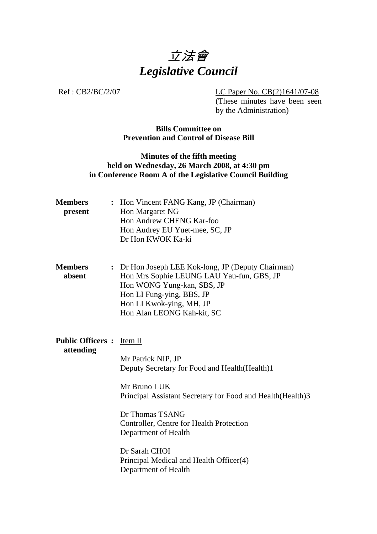

Ref : CB2/BC/2/07 LC Paper No. CB(2)1641/07-08

(These minutes have been seen by the Administration)

## **Bills Committee on Prevention and Control of Disease Bill**

## **Minutes of the fifth meeting held on Wednesday, 26 March 2008, at 4:30 pm in Conference Room A of the Legislative Council Building**

| <b>Members</b><br>present                    | : Hon Vincent FANG Kang, JP (Chairman)<br>Hon Margaret NG<br>Hon Andrew CHENG Kar-foo<br>Hon Audrey EU Yuet-mee, SC, JP<br>Dr Hon KWOK Ka-ki                                                                                                |
|----------------------------------------------|---------------------------------------------------------------------------------------------------------------------------------------------------------------------------------------------------------------------------------------------|
| <b>Members</b><br>absent                     | : Dr Hon Joseph LEE Kok-long, JP (Deputy Chairman)<br>Hon Mrs Sophie LEUNG LAU Yau-fun, GBS, JP<br>Hon WONG Yung-kan, SBS, JP<br>Hon LI Fung-ying, BBS, JP<br>Hon LI Kwok-ying, MH, JP<br>Hon Alan LEONG Kah-kit, SC                        |
| <b>Public Officers:</b> Item II<br>attending | Mr Patrick NIP, JP<br>Deputy Secretary for Food and Health (Health)1<br>Mr Bruno LUK<br>Principal Assistant Secretary for Food and Health (Health) 3<br>Dr Thomas TSANG<br>Controller, Centre for Health Protection<br>Department of Health |
|                                              | Dr Sarah CHOI<br>Principal Medical and Health Officer(4)<br>Department of Health                                                                                                                                                            |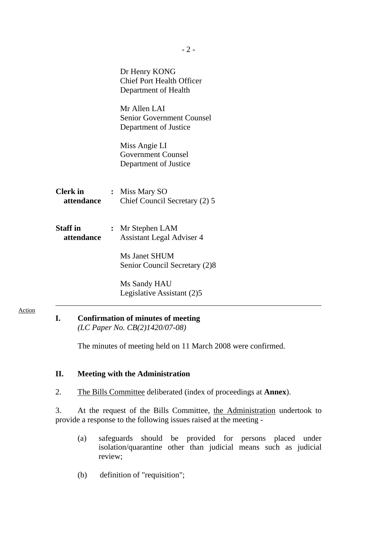|                               | Dr Henry KONG<br><b>Chief Port Health Officer</b><br>Department of Health |
|-------------------------------|---------------------------------------------------------------------------|
|                               | Mr Allen LAI<br><b>Senior Government Counsel</b><br>Department of Justice |
|                               | Miss Angie LI<br><b>Government Counsel</b><br>Department of Justice       |
| <b>Clerk in</b><br>attendance | : Miss Mary SO<br>Chief Council Secretary (2) 5                           |
| <b>Staff in</b><br>attendance | : Mr Stephen LAM<br><b>Assistant Legal Adviser 4</b>                      |
|                               | Ms Janet SHUM<br>Senior Council Secretary (2)8                            |
|                               | Ms Sandy HAU<br>Legislative Assistant (2)5                                |

#### Action

### **I. Confirmation of minutes of meeting**   *(LC Paper No. CB(2)1420/07-08)*

The minutes of meeting held on 11 March 2008 were confirmed.

#### **II. Meeting with the Administration**

2. The Bills Committee deliberated (index of proceedings at **Annex**).

3. At the request of the Bills Committee, the Administration undertook to provide a response to the following issues raised at the meeting -

- (a) safeguards should be provided for persons placed under isolation/quarantine other than judicial means such as judicial review;
- (b) definition of "requisition";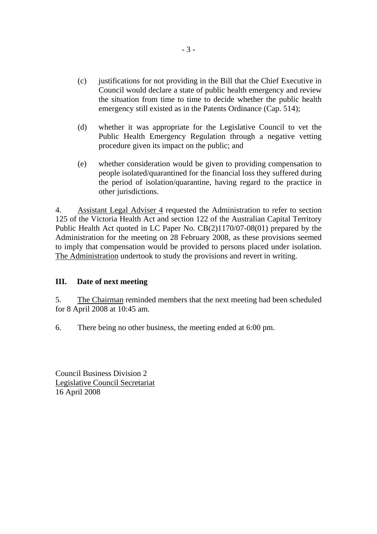- (c) justifications for not providing in the Bill that the Chief Executive in Council would declare a state of public health emergency and review the situation from time to time to decide whether the public health emergency still existed as in the Patents Ordinance (Cap. 514);
- (d) whether it was appropriate for the Legislative Council to vet the Public Health Emergency Regulation through a negative vetting procedure given its impact on the public; and
- (e) whether consideration would be given to providing compensation to people isolated/quarantined for the financial loss they suffered during the period of isolation/quarantine, having regard to the practice in other jurisdictions.

4. Assistant Legal Adviser 4 requested the Administration to refer to section 125 of the Victoria Health Act and section 122 of the Australian Capital Territory Public Health Act quoted in LC Paper No. CB(2)1170/07-08(01) prepared by the Administration for the meeting on 28 February 2008, as these provisions seemed to imply that compensation would be provided to persons placed under isolation. The Administration undertook to study the provisions and revert in writing.

## **III. Date of next meeting**

5. The Chairman reminded members that the next meeting had been scheduled for 8 April 2008 at 10:45 am.

6. There being no other business, the meeting ended at 6:00 pm.

Council Business Division 2 Legislative Council Secretariat 16 April 2008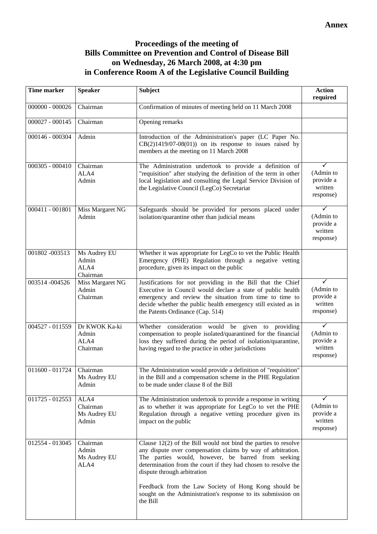# **Proceedings of the meeting of Bills Committee on Prevention and Control of Disease Bill on Wednesday, 26 March 2008, at 4:30 pm in Conference Room A of the Legislative Council Building**

| <b>Time marker</b> | <b>Speaker</b>                             | <b>Subject</b>                                                                                                                                                                                                                                                                                                                                                                                                             | <b>Action</b><br>required                           |
|--------------------|--------------------------------------------|----------------------------------------------------------------------------------------------------------------------------------------------------------------------------------------------------------------------------------------------------------------------------------------------------------------------------------------------------------------------------------------------------------------------------|-----------------------------------------------------|
| $000000 - 000026$  | Chairman                                   | Confirmation of minutes of meeting held on 11 March 2008                                                                                                                                                                                                                                                                                                                                                                   |                                                     |
| $000027 - 000145$  | Chairman                                   | Opening remarks                                                                                                                                                                                                                                                                                                                                                                                                            |                                                     |
| 000146 - 000304    | Admin                                      | Introduction of the Administration's paper (LC Paper No.<br>$CB(2)1419/07-08(01)$ on its response to issues raised by<br>members at the meeting on 11 March 2008                                                                                                                                                                                                                                                           |                                                     |
| $000305 - 000410$  | Chairman<br>ALA4<br>Admin                  | The Administration undertook to provide a definition of<br>"requisition" after studying the definition of the term in other<br>local legislation and consulting the Legal Service Division of<br>the Legislative Council (LegCo) Secretariat                                                                                                                                                                               | (Admin to<br>provide a<br>written<br>response)      |
| 000411 - 001801    | Miss Margaret NG<br>Admin                  | Safeguards should be provided for persons placed under<br>isolation/quarantine other than judicial means                                                                                                                                                                                                                                                                                                                   | ✓<br>(Admin to<br>provide a<br>written<br>response) |
| 001802 -003513     | Ms Audrey EU<br>Admin<br>ALA4<br>Chairman  | Whether it was appropriate for LegCo to vet the Public Health<br>Emergency (PHE) Regulation through a negative vetting<br>procedure, given its impact on the public                                                                                                                                                                                                                                                        |                                                     |
| 003514-004526      | Miss Margaret NG<br>Admin<br>Chairman      | Justifications for not providing in the Bill that the Chief<br>Executive in Council would declare a state of public health<br>emergency and review the situation from time to time to<br>decide whether the public health emergency still existed as in<br>the Patents Ordinance (Cap. 514)                                                                                                                                | ✓<br>(Admin to<br>provide a<br>written<br>response) |
| 004527 - 011559    | Dr KWOK Ka-ki<br>Admin<br>ALA4<br>Chairman | Whether consideration would be given to providing<br>compensation to people isolated/quarantined for the financial<br>loss they suffered during the period of isolation/quarantine,<br>having regard to the practice in other jurisdictions                                                                                                                                                                                | ✓<br>(Admin to<br>provide a<br>written<br>response) |
| 011600 - 011724    | Chairman<br>Ms Audrey EU<br>Admin          | The Administration would provide a definition of "requisition"<br>in the Bill and a compensation scheme in the PHE Regulation<br>to be made under clause 8 of the Bill                                                                                                                                                                                                                                                     |                                                     |
| 011725 - 012553    | ALA4<br>Chairman<br>Ms Audrey EU<br>Admin  | The Administration undertook to provide a response in writing<br>as to whether it was appropriate for LegCo to vet the PHE<br>Regulation through a negative vetting procedure given its<br>impact on the public                                                                                                                                                                                                            | (Admin to<br>provide a<br>written<br>response)      |
| 012554 - 013045    | Chairman<br>Admin<br>Ms Audrey EU<br>ALA4  | Clause $12(2)$ of the Bill would not bind the parties to resolve<br>any dispute over compensation claims by way of arbitration.<br>The parties would, however, be barred from seeking<br>determination from the court if they had chosen to resolve the<br>dispute through arbitration<br>Feedback from the Law Society of Hong Kong should be<br>sought on the Administration's response to its submission on<br>the Bill |                                                     |